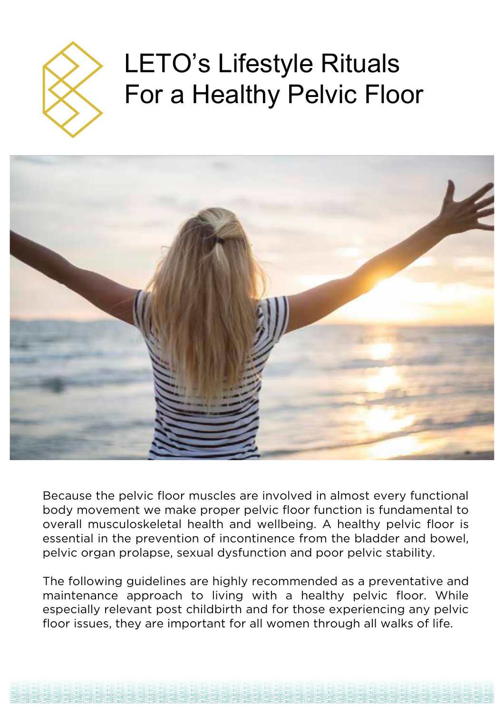

# LETO's Lifestyle Rituals For a Healthy Pelvic Floor



Because the pelvic floor muscles are involved in almost every functional body movement we make proper pelvic floor function is fundamental to overall musculoskeletal health and wellbeing. A healthy pelvic floor is essential in the prevention of incontinence from the bladder and bowel, pelvic organ prolapse, sexual dysfunction and poor pelvic stability.

The following guidelines are highly recommended as a preventative and maintenance approach to living with a healthy pelvic floor. While especially relevant post childbirth and for those experiencing any pelvic floor issues, they are important for all women through all walks of life.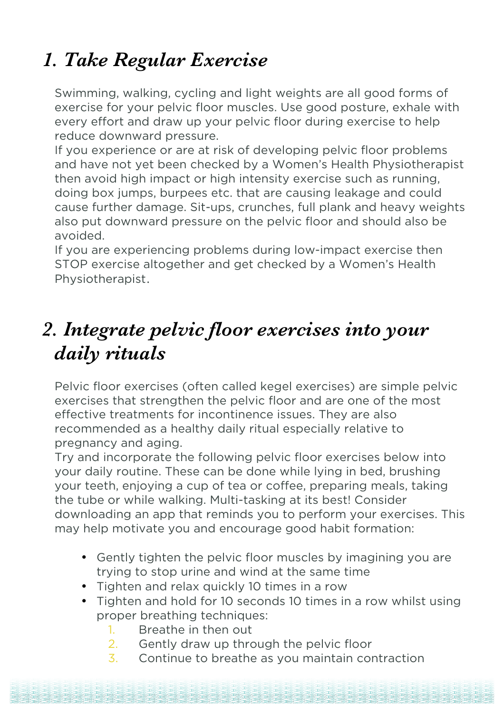## *1. Take Regular Exercise*

Swimming, walking, cycling and light weights are all good forms of exercise for your pelvic floor muscles. Use good posture, exhale with every effort and draw up your pelvic floor during exercise to help reduce downward pressure.

If you experience or are at risk of developing pelvic floor problems and have not yet been checked by a Women's Health Physiotherapist then avoid high impact or high intensity exercise such as running, doing box jumps, burpees etc. that are causing leakage and could cause further damage. Sit-ups, crunches, full plank and heavy weights also put downward pressure on the pelvic floor and should also be avoided.

If you are experiencing problems during low-impact exercise then STOP exercise altogether and get checked by a Women's Health Physiotherapist.

### *2. Integrate pelvic floor exercises into your daily rituals*

Pelvic floor exercises (often called kegel exercises) are simple pelvic exercises that strengthen the pelvic floor and are one of the most effective treatments for incontinence issues. They are also recommended as a healthy daily ritual especially relative to pregnancy and aging.

Try and incorporate the following pelvic floor exercises below into your daily routine. These can be done while lying in bed, brushing your teeth, enjoying a cup of tea or coffee, preparing meals, taking the tube or while walking. Multi-tasking at its best! Consider downloading an app that reminds you to perform your exercises. This may help motivate you and encourage good habit formation:

- Gently tighten the pelvic floor muscles by imagining you are trying to stop urine and wind at the same time
- Tighten and relax quickly 10 times in a row
- Tighten and hold for 10 seconds 10 times in a row whilst using proper breathing techniques:
	- 1. Breathe in then out
	- 2. Gently draw up through the pelvic floor
	- 3. Continue to breathe as you maintain contraction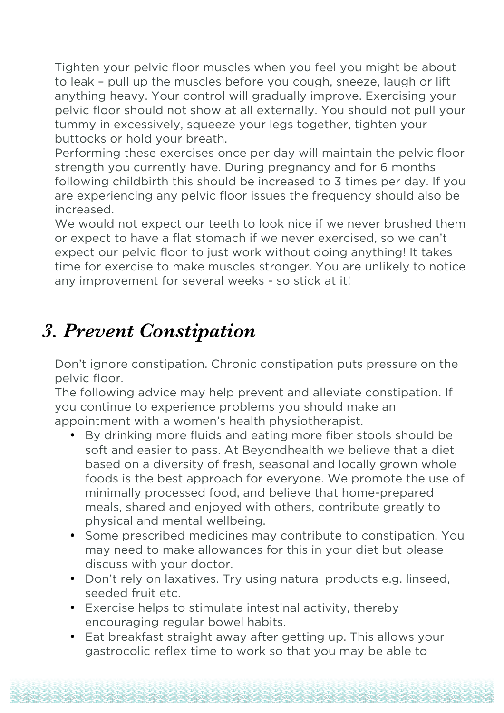Tighten your pelvic floor muscles when you feel you might be about to leak – pull up the muscles before you cough, sneeze, laugh or lift anything heavy. Your control will gradually improve. Exercising your pelvic floor should not show at all externally. You should not pull your tummy in excessively, squeeze your legs together, tighten your buttocks or hold your breath.

Performing these exercises once per day will maintain the pelvic floor strength you currently have. During pregnancy and for 6 months following childbirth this should be increased to 3 times per day. If you are experiencing any pelvic floor issues the frequency should also be increased.

We would not expect our teeth to look nice if we never brushed them or expect to have a flat stomach if we never exercised, so we can't expect our pelvic floor to just work without doing anything! It takes time for exercise to make muscles stronger. You are unlikely to notice any improvement for several weeks - so stick at it!

#### *3. Prevent Constipation*

Don't ignore constipation. Chronic constipation puts pressure on the pelvic floor.

The following advice may help prevent and alleviate constipation. If you continue to experience problems you should make an appointment with a women's health physiotherapist.

- By drinking more fluids and eating more fiber stools should be soft and easier to pass. At Beyondhealth we believe that a diet based on a diversity of fresh, seasonal and locally grown whole foods is the best approach for everyone. We promote the use of minimally processed food, and believe that home-prepared meals, shared and enjoyed with others, contribute greatly to physical and mental wellbeing.
- Some prescribed medicines may contribute to constipation. You may need to make allowances for this in your diet but please discuss with your doctor.
- Don't rely on laxatives. Try using natural products e.g. linseed, seeded fruit etc.
- Exercise helps to stimulate intestinal activity, thereby encouraging regular bowel habits.
- Eat breakfast straight away after getting up. This allows your gastrocolic reflex time to work so that you may be able to